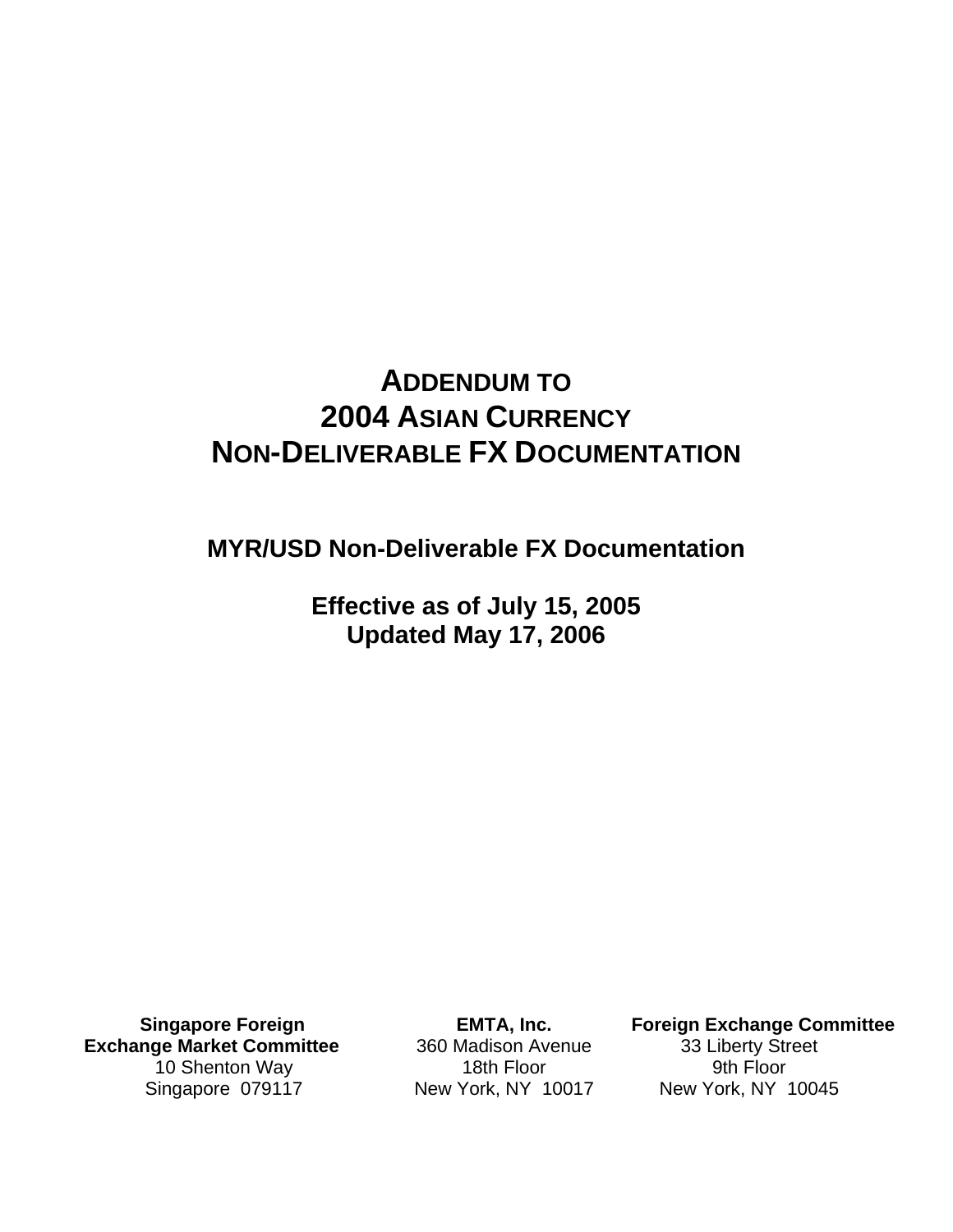# **ADDENDUM TO 2004 ASIAN CURRENCY NON-DELIVERABLE FX DOCUMENTATION**

**MYR/USD Non-Deliverable FX Documentation** 

**Effective as of July 15, 2005 Updated May 17, 2006** 

**Singapore Foreign Exchange Market Committee**  10 Shenton Way Singapore 079117

**EMTA, Inc.**  360 Madison Avenue 18th Floor New York, NY 10017

**Foreign Exchange Committee**  33 Liberty Street 9th Floor New York, NY 10045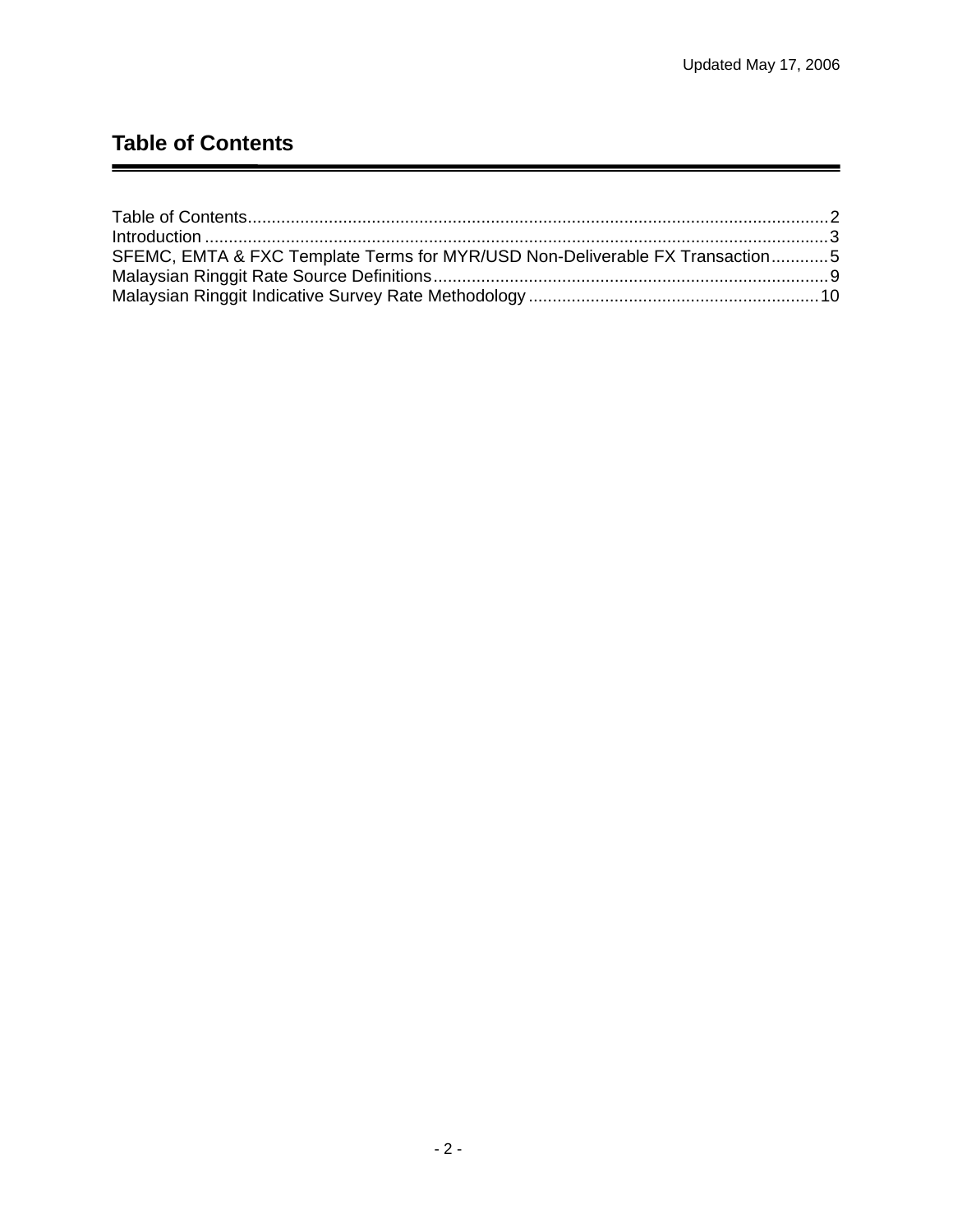## <span id="page-1-0"></span>**Table of Contents**

| SFEMC, EMTA & FXC Template Terms for MYR/USD Non-Deliverable FX Transaction5 |  |
|------------------------------------------------------------------------------|--|
|                                                                              |  |
|                                                                              |  |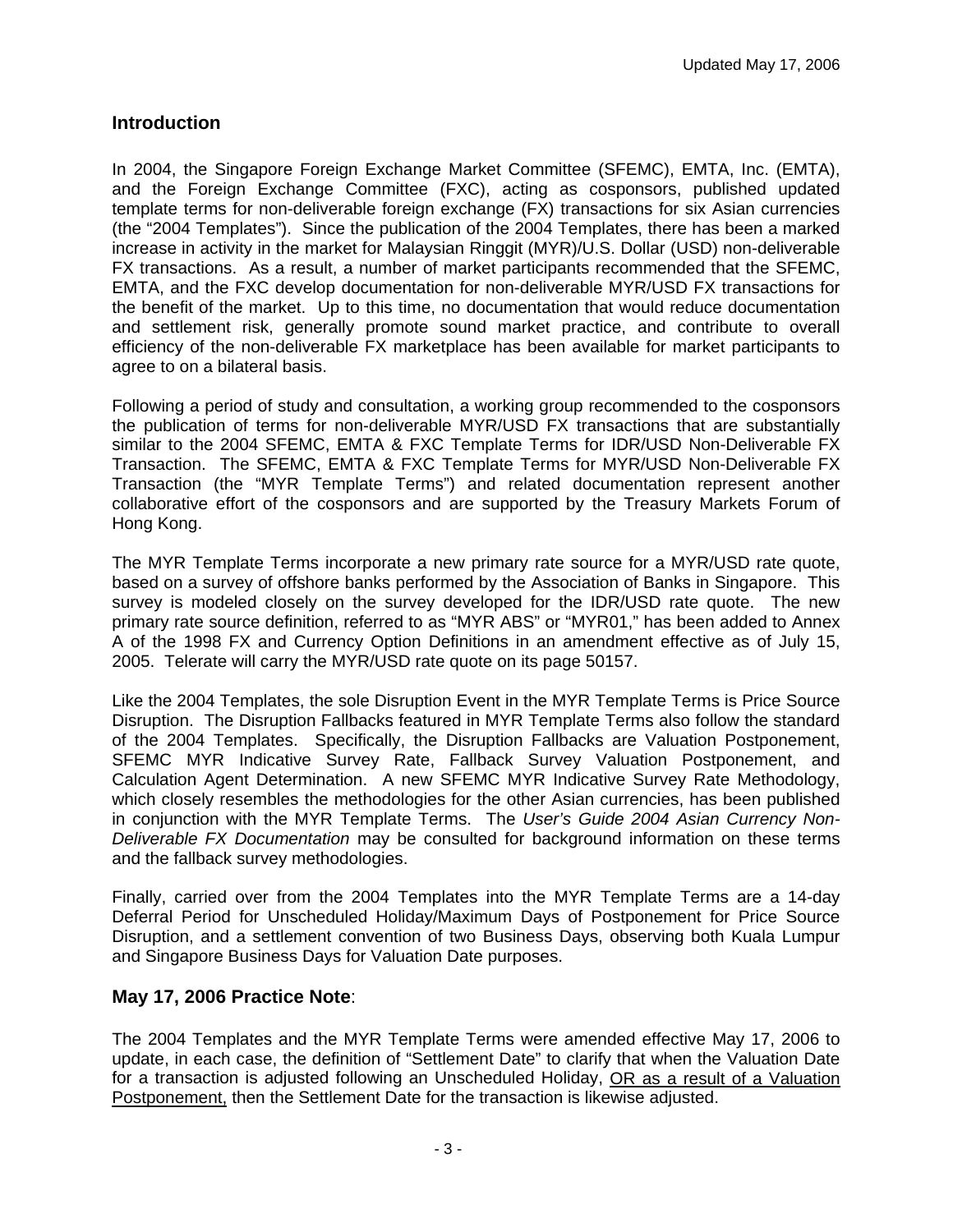## <span id="page-2-0"></span>**Introduction**

In 2004, the Singapore Foreign Exchange Market Committee (SFEMC), EMTA, Inc. (EMTA), and the Foreign Exchange Committee (FXC), acting as cosponsors, published updated template terms for non-deliverable foreign exchange (FX) transactions for six Asian currencies (the "2004 Templates"). Since the publication of the 2004 Templates, there has been a marked increase in activity in the market for Malaysian Ringgit (MYR)/U.S. Dollar (USD) non-deliverable FX transactions. As a result, a number of market participants recommended that the SFEMC, EMTA, and the FXC develop documentation for non-deliverable MYR/USD FX transactions for the benefit of the market. Up to this time, no documentation that would reduce documentation and settlement risk, generally promote sound market practice, and contribute to overall efficiency of the non-deliverable FX marketplace has been available for market participants to agree to on a bilateral basis.

Following a period of study and consultation, a working group recommended to the cosponsors the publication of terms for non-deliverable MYR/USD FX transactions that are substantially similar to the 2004 SFEMC, EMTA & FXC Template Terms for IDR/USD Non-Deliverable FX Transaction. The SFEMC, EMTA & FXC Template Terms for MYR/USD Non-Deliverable FX Transaction (the "MYR Template Terms") and related documentation represent another collaborative effort of the cosponsors and are supported by the Treasury Markets Forum of Hong Kong.

The MYR Template Terms incorporate a new primary rate source for a MYR/USD rate quote, based on a survey of offshore banks performed by the Association of Banks in Singapore. This survey is modeled closely on the survey developed for the IDR/USD rate quote. The new primary rate source definition, referred to as "MYR ABS" or "MYR01," has been added to Annex A of the 1998 FX and Currency Option Definitions in an amendment effective as of July 15, 2005. Telerate will carry the MYR/USD rate quote on its page 50157.

Like the 2004 Templates, the sole Disruption Event in the MYR Template Terms is Price Source Disruption. The Disruption Fallbacks featured in MYR Template Terms also follow the standard of the 2004 Templates. Specifically, the Disruption Fallbacks are Valuation Postponement, SFEMC MYR Indicative Survey Rate, Fallback Survey Valuation Postponement, and Calculation Agent Determination. A new SFEMC MYR Indicative Survey Rate Methodology, which closely resembles the methodologies for the other Asian currencies, has been published in conjunction with the MYR Template Terms. The *User's Guide 2004 Asian Currency Non-Deliverable FX Documentation* may be consulted for background information on these terms and the fallback survey methodologies.

Finally, carried over from the 2004 Templates into the MYR Template Terms are a 14-day Deferral Period for Unscheduled Holiday/Maximum Days of Postponement for Price Source Disruption, and a settlement convention of two Business Days, observing both Kuala Lumpur and Singapore Business Days for Valuation Date purposes.

## **May 17, 2006 Practice Note**:

The 2004 Templates and the MYR Template Terms were amended effective May 17, 2006 to update, in each case, the definition of "Settlement Date" to clarify that when the Valuation Date for a transaction is adjusted following an Unscheduled Holiday, OR as a result of a Valuation Postponement, then the Settlement Date for the transaction is likewise adjusted.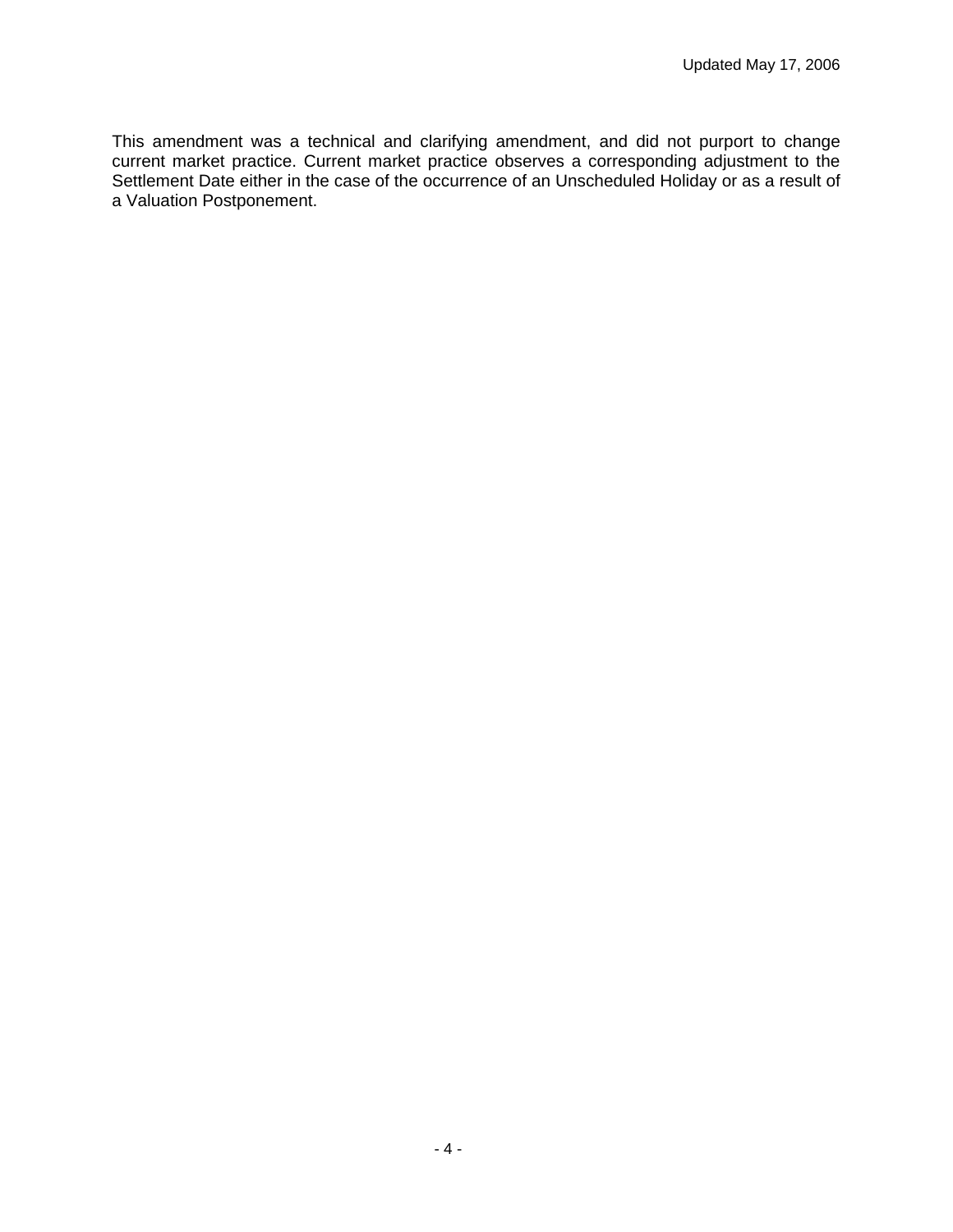This amendment was a technical and clarifying amendment, and did not purport to change current market practice. Current market practice observes a corresponding adjustment to the Settlement Date either in the case of the occurrence of an Unscheduled Holiday or as a result of a Valuation Postponement.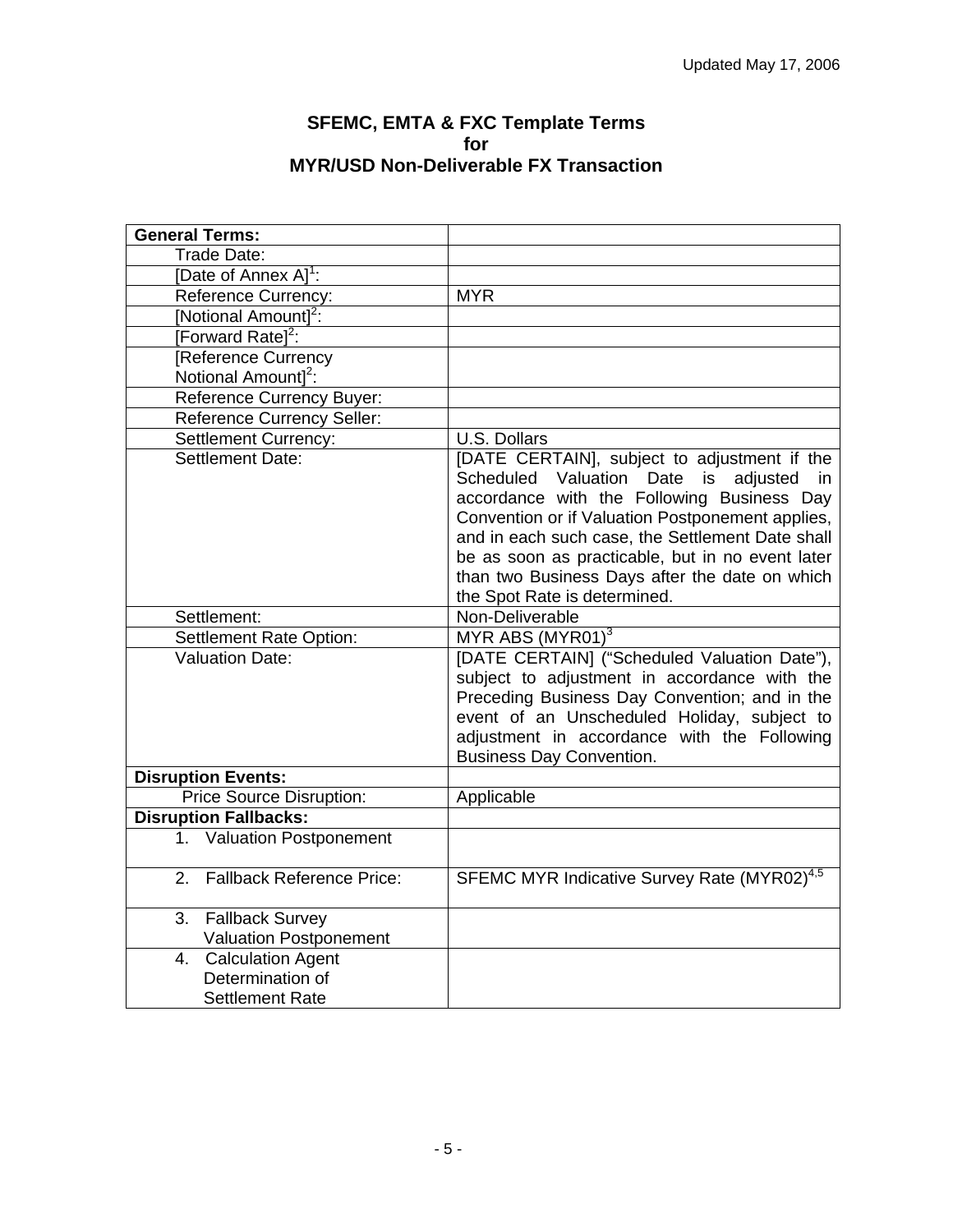#### **SFEMC, EMTA & FXC Template Terms for MYR/USD Non-Deliverable FX Transaction**

<span id="page-4-0"></span>

| <b>General Terms:</b>                                              |                                                                                                                                                                                                                                                                                                                                                                                                                  |
|--------------------------------------------------------------------|------------------------------------------------------------------------------------------------------------------------------------------------------------------------------------------------------------------------------------------------------------------------------------------------------------------------------------------------------------------------------------------------------------------|
| Trade Date:                                                        |                                                                                                                                                                                                                                                                                                                                                                                                                  |
| [Date of Annex A] <sup>1</sup> :                                   |                                                                                                                                                                                                                                                                                                                                                                                                                  |
| <b>Reference Currency:</b>                                         | <b>MYR</b>                                                                                                                                                                                                                                                                                                                                                                                                       |
| [Notional Amount] <sup>2</sup> :                                   |                                                                                                                                                                                                                                                                                                                                                                                                                  |
| [Forward Ratel <sup>2</sup> :                                      |                                                                                                                                                                                                                                                                                                                                                                                                                  |
| Reference Currency                                                 |                                                                                                                                                                                                                                                                                                                                                                                                                  |
| Notional Amount] <sup>2</sup> :                                    |                                                                                                                                                                                                                                                                                                                                                                                                                  |
| Reference Currency Buyer:                                          |                                                                                                                                                                                                                                                                                                                                                                                                                  |
| <b>Reference Currency Seller:</b>                                  |                                                                                                                                                                                                                                                                                                                                                                                                                  |
| <b>Settlement Currency:</b>                                        | U.S. Dollars                                                                                                                                                                                                                                                                                                                                                                                                     |
| Settlement Date:<br>Settlement:                                    | [DATE CERTAIN], subject to adjustment if the<br>Scheduled Valuation Date<br>is<br>adjusted<br>in.<br>accordance with the Following Business Day<br>Convention or if Valuation Postponement applies,<br>and in each such case, the Settlement Date shall<br>be as soon as practicable, but in no event later<br>than two Business Days after the date on which<br>the Spot Rate is determined.<br>Non-Deliverable |
| Settlement Rate Option:                                            | MYR ABS $(MYR01)^3$                                                                                                                                                                                                                                                                                                                                                                                              |
| <b>Valuation Date:</b>                                             | [DATE CERTAIN] ("Scheduled Valuation Date"),<br>subject to adjustment in accordance with the<br>Preceding Business Day Convention; and in the<br>event of an Unscheduled Holiday, subject to<br>adjustment in accordance with the Following<br><b>Business Day Convention.</b>                                                                                                                                   |
| <b>Disruption Events:</b>                                          |                                                                                                                                                                                                                                                                                                                                                                                                                  |
| Price Source Disruption:                                           | Applicable                                                                                                                                                                                                                                                                                                                                                                                                       |
| <b>Disruption Fallbacks:</b>                                       |                                                                                                                                                                                                                                                                                                                                                                                                                  |
| 1. Valuation Postponement                                          |                                                                                                                                                                                                                                                                                                                                                                                                                  |
| <b>Fallback Reference Price:</b><br>2.                             | SFEMC MYR Indicative Survey Rate (MYR02) <sup>4,5</sup>                                                                                                                                                                                                                                                                                                                                                          |
| <b>Fallback Survey</b><br>3.<br><b>Valuation Postponement</b>      |                                                                                                                                                                                                                                                                                                                                                                                                                  |
| 4. Calculation Agent<br>Determination of<br><b>Settlement Rate</b> |                                                                                                                                                                                                                                                                                                                                                                                                                  |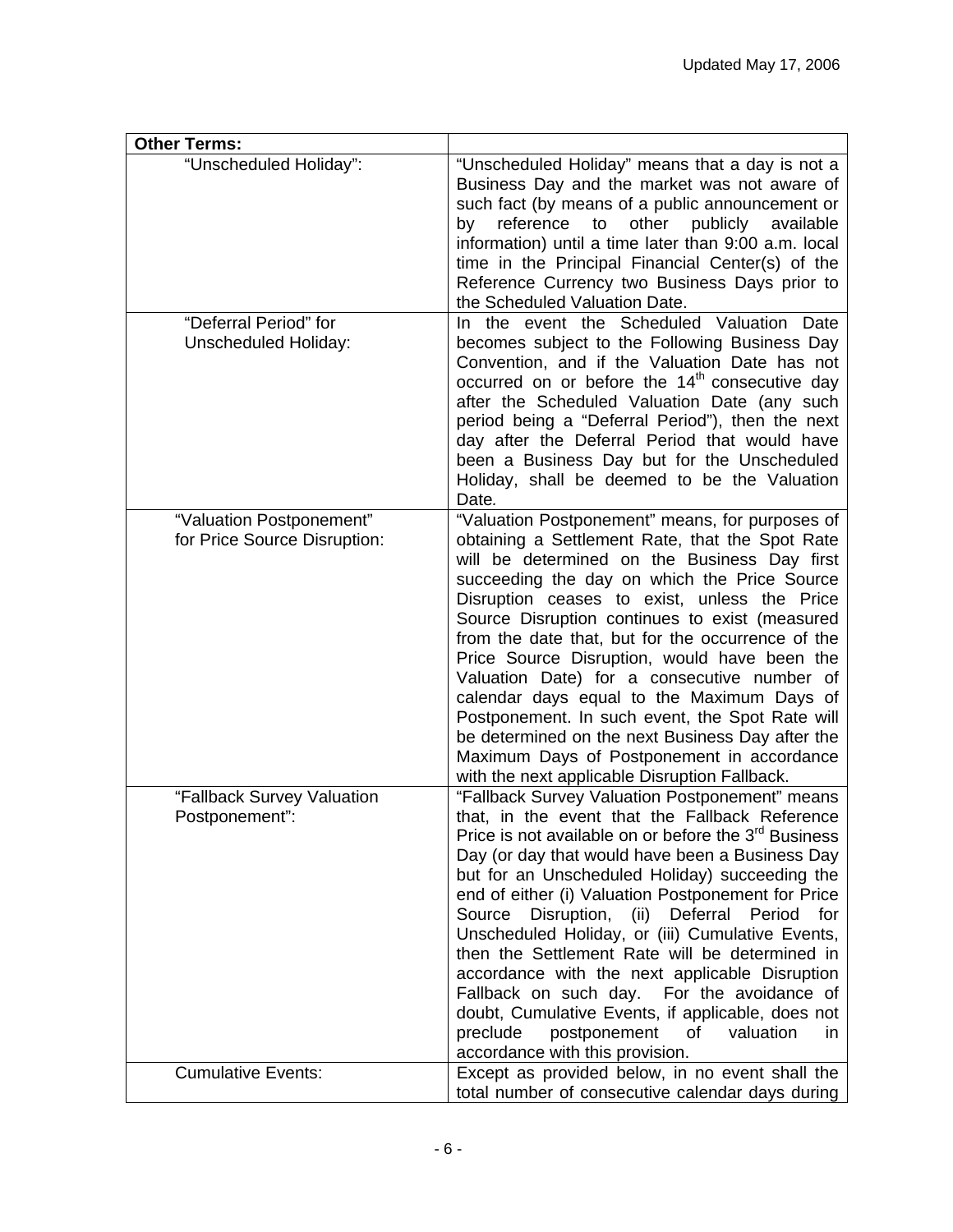| <b>Other Terms:</b>                                      |                                                                                                                                                                                                                                                                                                                                                                                                                                                                                                                                                                                                                                                                                                                                                   |
|----------------------------------------------------------|---------------------------------------------------------------------------------------------------------------------------------------------------------------------------------------------------------------------------------------------------------------------------------------------------------------------------------------------------------------------------------------------------------------------------------------------------------------------------------------------------------------------------------------------------------------------------------------------------------------------------------------------------------------------------------------------------------------------------------------------------|
| "Unscheduled Holiday":                                   | "Unscheduled Holiday" means that a day is not a<br>Business Day and the market was not aware of<br>such fact (by means of a public announcement or<br>reference<br>to<br>other<br>publicly<br>by<br>available<br>information) until a time later than 9:00 a.m. local<br>time in the Principal Financial Center(s) of the<br>Reference Currency two Business Days prior to<br>the Scheduled Valuation Date.                                                                                                                                                                                                                                                                                                                                       |
| "Deferral Period" for<br><b>Unscheduled Holiday:</b>     | In the event the Scheduled Valuation<br>Date<br>becomes subject to the Following Business Day<br>Convention, and if the Valuation Date has not<br>occurred on or before the 14 <sup>th</sup> consecutive day<br>after the Scheduled Valuation Date (any such<br>period being a "Deferral Period"), then the next<br>day after the Deferral Period that would have<br>been a Business Day but for the Unscheduled<br>Holiday, shall be deemed to be the Valuation<br>Date.                                                                                                                                                                                                                                                                         |
| "Valuation Postponement"<br>for Price Source Disruption: | "Valuation Postponement" means, for purposes of<br>obtaining a Settlement Rate, that the Spot Rate<br>will be determined on the Business Day first<br>succeeding the day on which the Price Source<br>Disruption ceases to exist, unless the Price<br>Source Disruption continues to exist (measured<br>from the date that, but for the occurrence of the<br>Price Source Disruption, would have been the<br>Valuation Date) for a consecutive number of<br>calendar days equal to the Maximum Days of<br>Postponement. In such event, the Spot Rate will<br>be determined on the next Business Day after the<br>Maximum Days of Postponement in accordance<br>with the next applicable Disruption Fallback.                                      |
| "Fallback Survey Valuation<br>Postponement":             | "Fallback Survey Valuation Postponement" means<br>that, in the event that the Fallback Reference<br>Price is not available on or before the 3 <sup>rd</sup> Business<br>Day (or day that would have been a Business Day<br>but for an Unscheduled Holiday) succeeding the<br>end of either (i) Valuation Postponement for Price<br>Source<br>Disruption,<br>Deferral<br>(ii)<br>Period<br>for<br>Unscheduled Holiday, or (iii) Cumulative Events,<br>then the Settlement Rate will be determined in<br>accordance with the next applicable Disruption<br>Fallback on such day. For the avoidance of<br>doubt, Cumulative Events, if applicable, does not<br>preclude<br>postponement<br>οf<br>valuation<br>in.<br>accordance with this provision. |
| <b>Cumulative Events:</b>                                | Except as provided below, in no event shall the<br>total number of consecutive calendar days during                                                                                                                                                                                                                                                                                                                                                                                                                                                                                                                                                                                                                                               |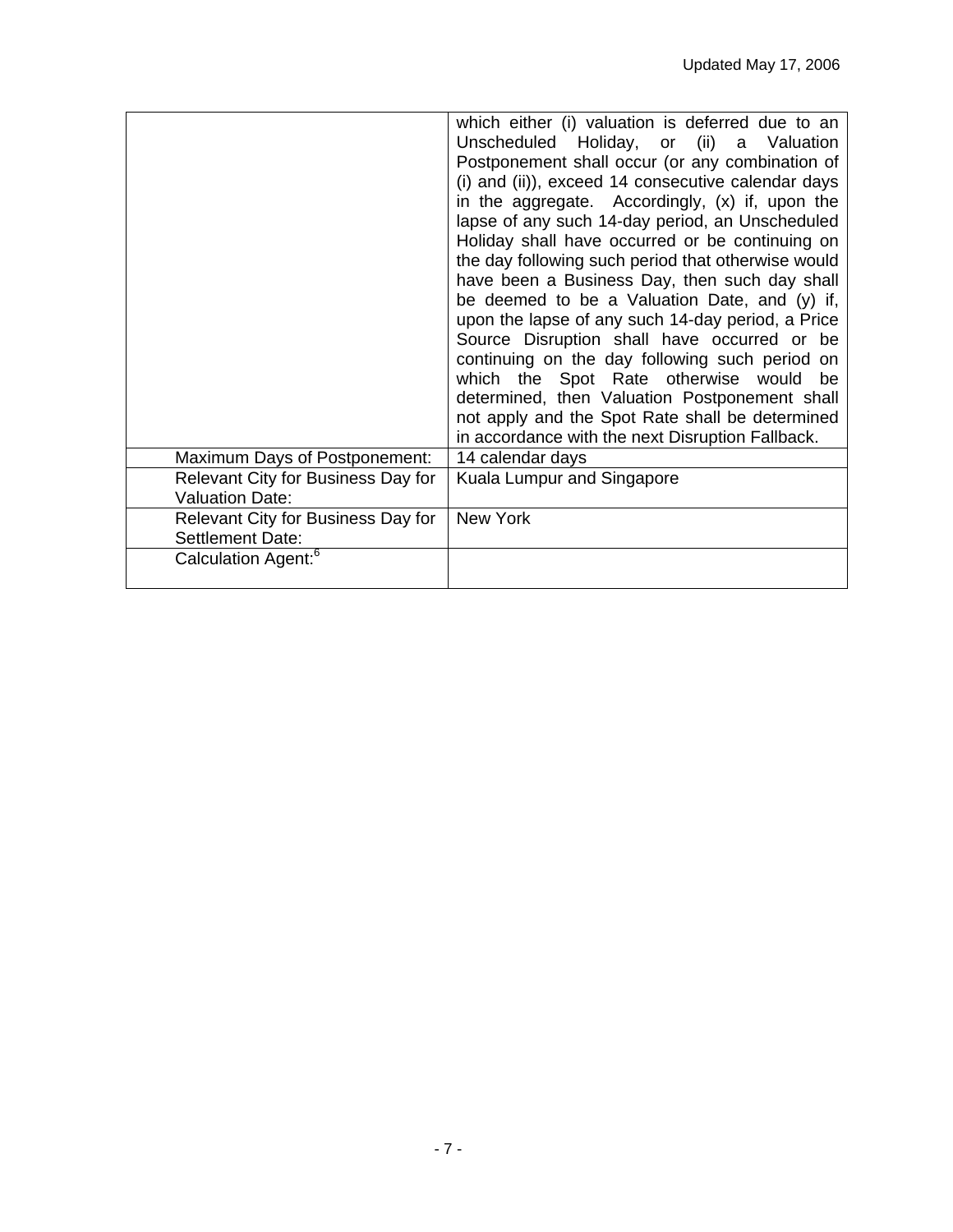| Maximum Days of Postponement:<br>Relevant City for Business Day for<br><b>Valuation Date:</b><br>Relevant City for Business Day for | which either (i) valuation is deferred due to an<br>Unscheduled Holiday, or (ii) a Valuation<br>Postponement shall occur (or any combination of<br>(i) and (ii)), exceed 14 consecutive calendar days<br>in the aggregate. Accordingly, (x) if, upon the<br>lapse of any such 14-day period, an Unscheduled<br>Holiday shall have occurred or be continuing on<br>the day following such period that otherwise would<br>have been a Business Day, then such day shall<br>be deemed to be a Valuation Date, and (y) if,<br>upon the lapse of any such 14-day period, a Price<br>Source Disruption shall have occurred or be<br>continuing on the day following such period on<br>which the Spot Rate otherwise would<br>be<br>determined, then Valuation Postponement shall<br>not apply and the Spot Rate shall be determined<br>in accordance with the next Disruption Fallback.<br>14 calendar days<br>Kuala Lumpur and Singapore<br>New York |
|-------------------------------------------------------------------------------------------------------------------------------------|-------------------------------------------------------------------------------------------------------------------------------------------------------------------------------------------------------------------------------------------------------------------------------------------------------------------------------------------------------------------------------------------------------------------------------------------------------------------------------------------------------------------------------------------------------------------------------------------------------------------------------------------------------------------------------------------------------------------------------------------------------------------------------------------------------------------------------------------------------------------------------------------------------------------------------------------------|
|                                                                                                                                     |                                                                                                                                                                                                                                                                                                                                                                                                                                                                                                                                                                                                                                                                                                                                                                                                                                                                                                                                                 |
| Settlement Date:                                                                                                                    |                                                                                                                                                                                                                                                                                                                                                                                                                                                                                                                                                                                                                                                                                                                                                                                                                                                                                                                                                 |
| Calculation Agent: <sup>6</sup>                                                                                                     |                                                                                                                                                                                                                                                                                                                                                                                                                                                                                                                                                                                                                                                                                                                                                                                                                                                                                                                                                 |
|                                                                                                                                     |                                                                                                                                                                                                                                                                                                                                                                                                                                                                                                                                                                                                                                                                                                                                                                                                                                                                                                                                                 |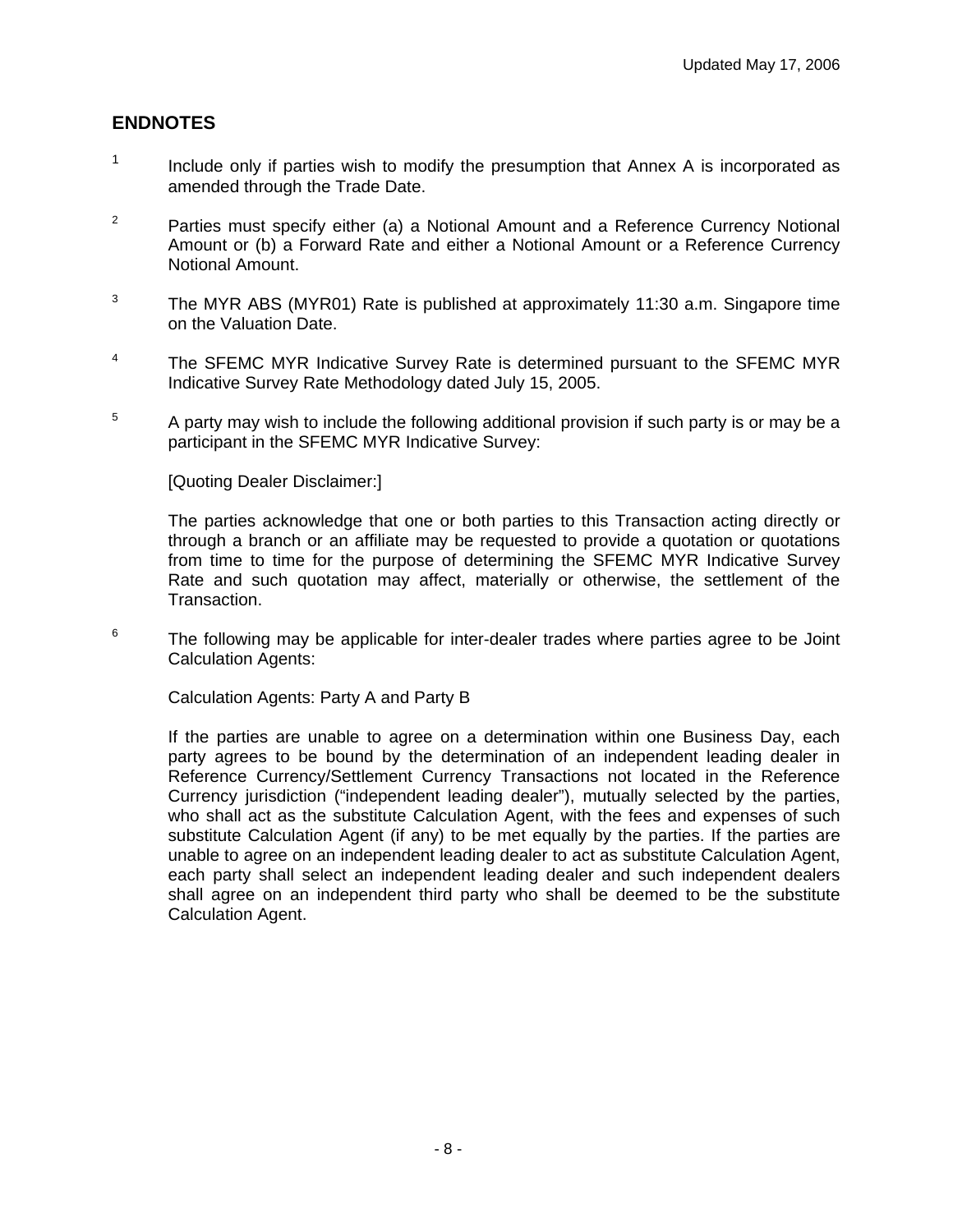## **ENDNOTES**

- $1$  Include only if parties wish to modify the presumption that Annex A is incorporated as amended through the Trade Date.
- <sup>2</sup> Parties must specify either (a) a Notional Amount and a Reference Currency Notional Amount or (b) a Forward Rate and either a Notional Amount or a Reference Currency Notional Amount.
- $3$  The MYR ABS (MYR01) Rate is published at approximately 11:30 a.m. Singapore time on the Valuation Date.
- <sup>4</sup> The SFEMC MYR Indicative Survey Rate is determined pursuant to the SFEMC MYR Indicative Survey Rate Methodology dated July 15, 2005.
- 5 A party may wish to include the following additional provision if such party is or may be a participant in the SFEMC MYR Indicative Survey:

[Quoting Dealer Disclaimer:]

The parties acknowledge that one or both parties to this Transaction acting directly or through a branch or an affiliate may be requested to provide a quotation or quotations from time to time for the purpose of determining the SFEMC MYR Indicative Survey Rate and such quotation may affect, materially or otherwise, the settlement of the Transaction.

6 The following may be applicable for inter-dealer trades where parties agree to be Joint Calculation Agents:

Calculation Agents: Party A and Party B

If the parties are unable to agree on a determination within one Business Day, each party agrees to be bound by the determination of an independent leading dealer in Reference Currency/Settlement Currency Transactions not located in the Reference Currency jurisdiction ("independent leading dealer"), mutually selected by the parties, who shall act as the substitute Calculation Agent, with the fees and expenses of such substitute Calculation Agent (if any) to be met equally by the parties. If the parties are unable to agree on an independent leading dealer to act as substitute Calculation Agent, each party shall select an independent leading dealer and such independent dealers shall agree on an independent third party who shall be deemed to be the substitute Calculation Agent.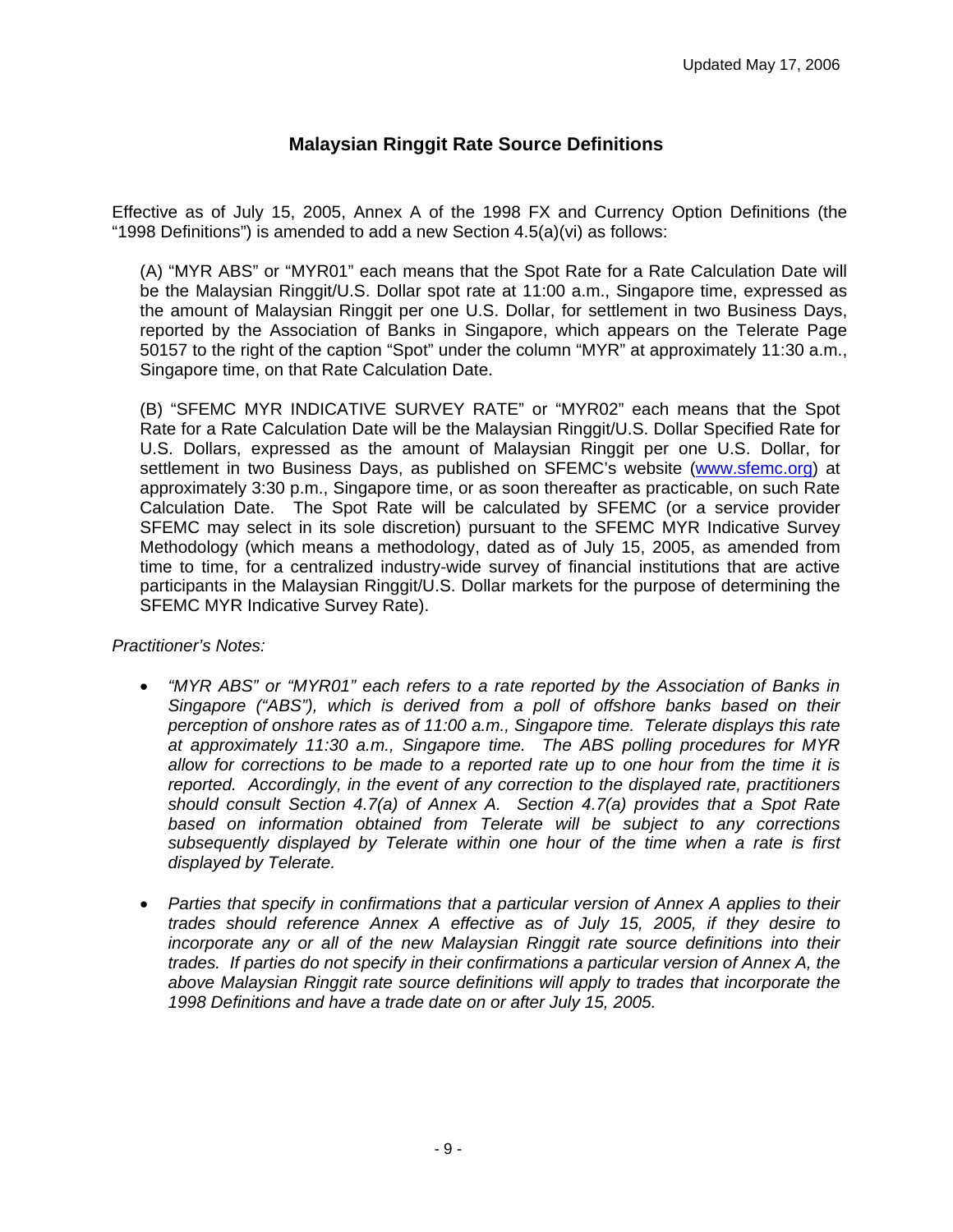## **Malaysian Ringgit Rate Source Definitions**

<span id="page-8-0"></span>Effective as of July 15, 2005, Annex A of the 1998 FX and Currency Option Definitions (the "1998 Definitions") is amended to add a new Section 4.5(a)(vi) as follows:

(A) "MYR ABS" or "MYR01" each means that the Spot Rate for a Rate Calculation Date will be the Malaysian Ringgit/U.S. Dollar spot rate at 11:00 a.m., Singapore time, expressed as the amount of Malaysian Ringgit per one U.S. Dollar, for settlement in two Business Days, reported by the Association of Banks in Singapore, which appears on the Telerate Page 50157 to the right of the caption "Spot" under the column "MYR" at approximately 11:30 a.m., Singapore time, on that Rate Calculation Date.

(B) "SFEMC MYR INDICATIVE SURVEY RATE" or "MYR02" each means that the Spot Rate for a Rate Calculation Date will be the Malaysian Ringgit/U.S. Dollar Specified Rate for U.S. Dollars, expressed as the amount of Malaysian Ringgit per one U.S. Dollar, for settlement in two Business Days, as published on SFEMC's website [\(www.sfemc.org](http://www.sfemc.org/)) at approximately 3:30 p.m., Singapore time, or as soon thereafter as practicable, on such Rate Calculation Date. The Spot Rate will be calculated by SFEMC (or a service provider SFEMC may select in its sole discretion) pursuant to the SFEMC MYR Indicative Survey Methodology (which means a methodology, dated as of July 15, 2005, as amended from time to time, for a centralized industry-wide survey of financial institutions that are active participants in the Malaysian Ringgit/U.S. Dollar markets for the purpose of determining the SFEMC MYR Indicative Survey Rate).

#### *Practitioner's Notes:*

- *"MYR ABS" or "MYR01" each refers to a rate reported by the Association of Banks in Singapore ("ABS"), which is derived from a poll of offshore banks based on their perception of onshore rates as of 11:00 a.m., Singapore time. Telerate displays this rate at approximately 11:30 a.m., Singapore time. The ABS polling procedures for MYR allow for corrections to be made to a reported rate up to one hour from the time it is reported. Accordingly, in the event of any correction to the displayed rate, practitioners should consult Section 4.7(a) of Annex A. Section 4.7(a) provides that a Spot Rate based on information obtained from Telerate will be subject to any corrections subsequently displayed by Telerate within one hour of the time when a rate is first displayed by Telerate.*
- *Parties that specify in confirmations that a particular version of Annex A applies to their trades should reference Annex A effective as of July 15, 2005, if they desire to incorporate any or all of the new Malaysian Ringgit rate source definitions into their trades. If parties do not specify in their confirmations a particular version of Annex A, the above Malaysian Ringgit rate source definitions will apply to trades that incorporate the 1998 Definitions and have a trade date on or after July 15, 2005.*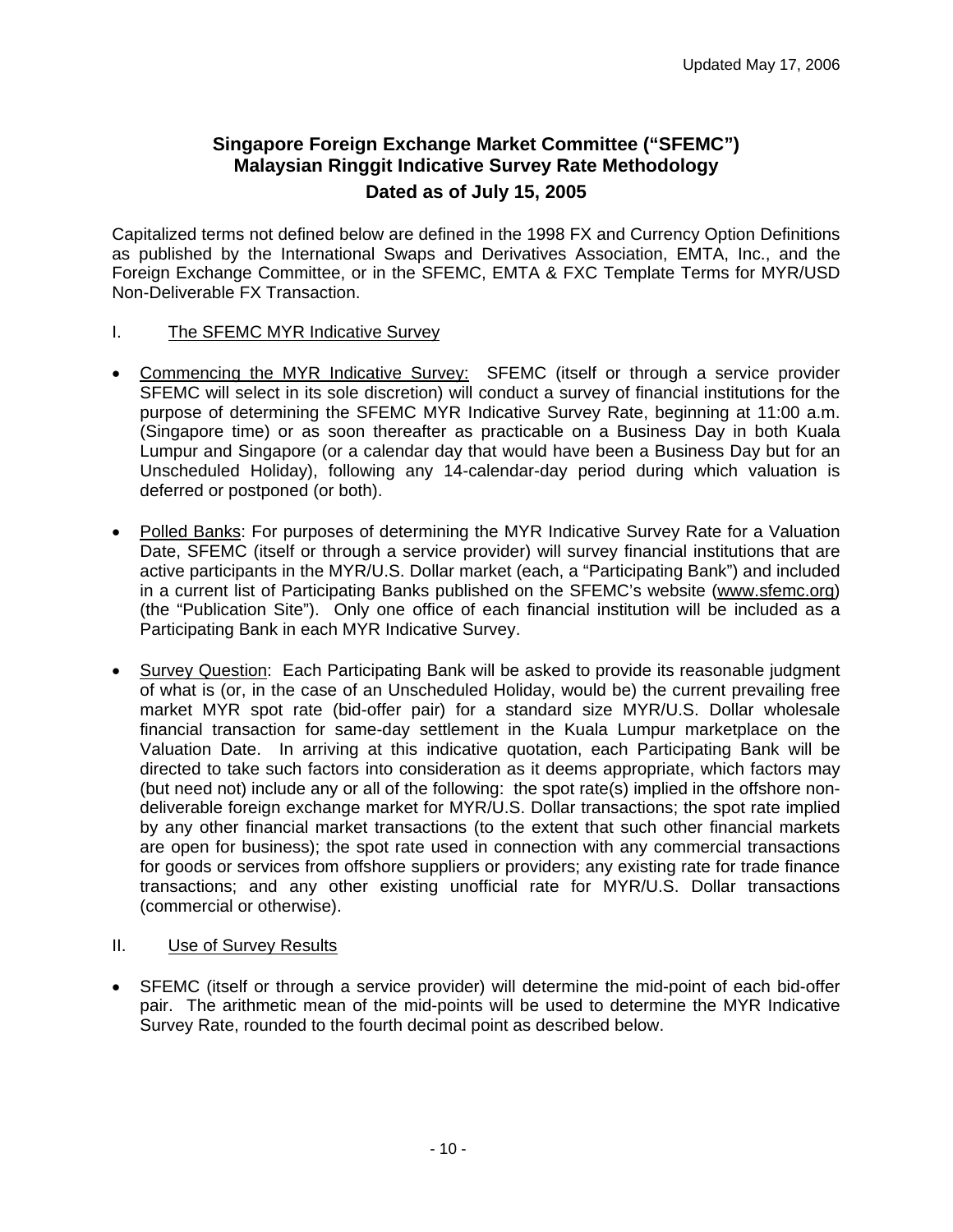## <span id="page-9-0"></span>**Singapore Foreign Exchange Market Committee ("SFEMC") Malaysian Ringgit Indicative Survey Rate Methodology Dated as of July 15, 2005**

Capitalized terms not defined below are defined in the 1998 FX and Currency Option Definitions as published by the International Swaps and Derivatives Association, EMTA, Inc., and the Foreign Exchange Committee, or in the SFEMC, EMTA & FXC Template Terms for MYR/USD Non-Deliverable FX Transaction.

- I. The SFEMC MYR Indicative Survey
- Commencing the MYR Indicative Survey: SFEMC (itself or through a service provider SFEMC will select in its sole discretion) will conduct a survey of financial institutions for the purpose of determining the SFEMC MYR Indicative Survey Rate, beginning at 11:00 a.m. (Singapore time) or as soon thereafter as practicable on a Business Day in both Kuala Lumpur and Singapore (or a calendar day that would have been a Business Day but for an Unscheduled Holiday), following any 14-calendar-day period during which valuation is deferred or postponed (or both).
- Polled Banks: For purposes of determining the MYR Indicative Survey Rate for a Valuation Date, SFEMC (itself or through a service provider) will survey financial institutions that are active participants in the MYR/U.S. Dollar market (each, a "Participating Bank") and included in a current list of Participating Banks published on the SFEMC's website [\(www.sfemc.org](http://www.sfemc.org/)) (the "Publication Site"). Only one office of each financial institution will be included as a Participating Bank in each MYR Indicative Survey.
- Survey Question: Each Participating Bank will be asked to provide its reasonable judgment of what is (or, in the case of an Unscheduled Holiday, would be) the current prevailing free market MYR spot rate (bid-offer pair) for a standard size MYR/U.S. Dollar wholesale financial transaction for same-day settlement in the Kuala Lumpur marketplace on the Valuation Date. In arriving at this indicative quotation, each Participating Bank will be directed to take such factors into consideration as it deems appropriate, which factors may (but need not) include any or all of the following: the spot rate(s) implied in the offshore nondeliverable foreign exchange market for MYR/U.S. Dollar transactions; the spot rate implied by any other financial market transactions (to the extent that such other financial markets are open for business); the spot rate used in connection with any commercial transactions for goods or services from offshore suppliers or providers; any existing rate for trade finance transactions; and any other existing unofficial rate for MYR/U.S. Dollar transactions (commercial or otherwise).
- II. Use of Survey Results
- SFEMC (itself or through a service provider) will determine the mid-point of each bid-offer pair. The arithmetic mean of the mid-points will be used to determine the MYR Indicative Survey Rate, rounded to the fourth decimal point as described below.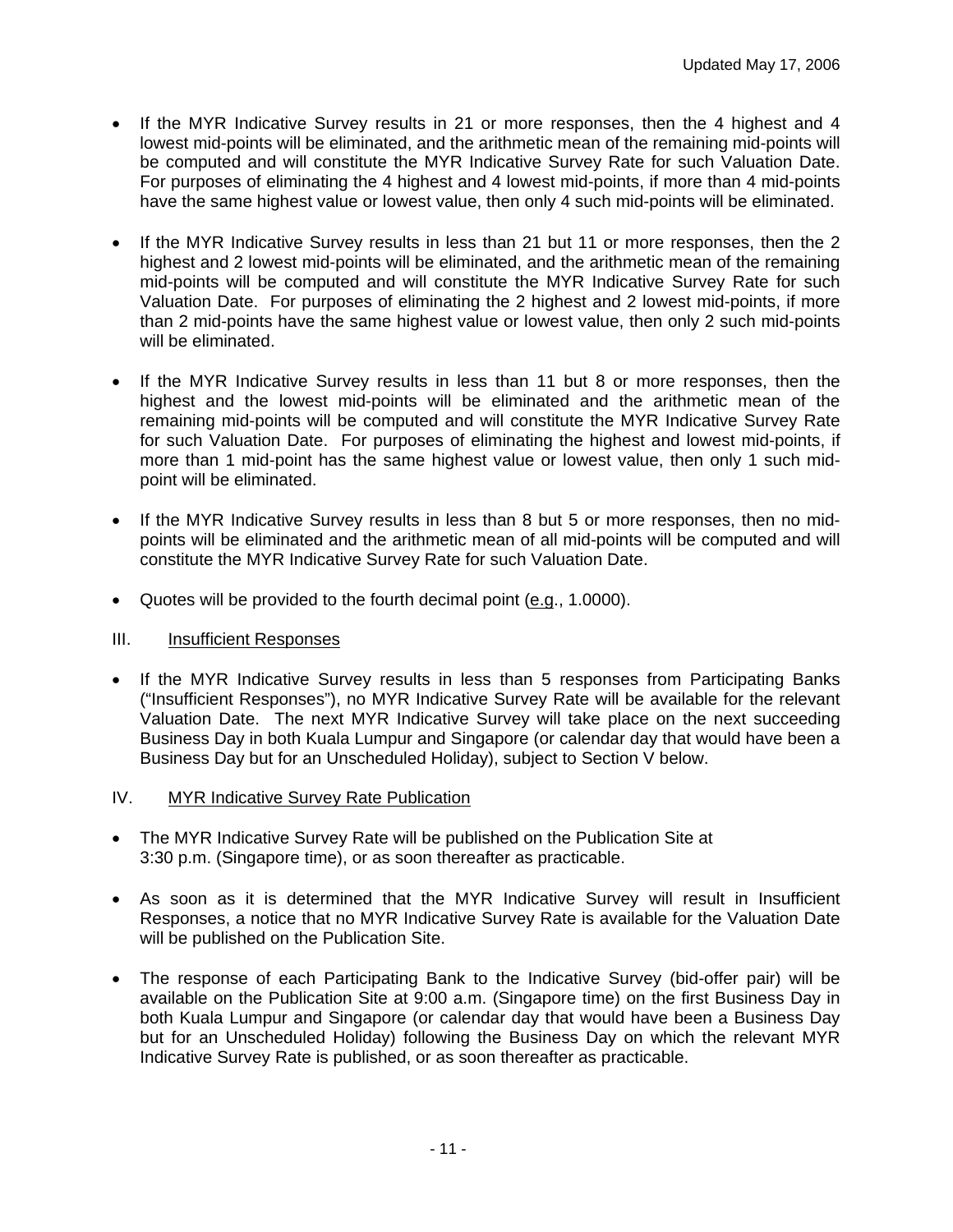- If the MYR Indicative Survey results in 21 or more responses, then the 4 highest and 4 lowest mid-points will be eliminated, and the arithmetic mean of the remaining mid-points will be computed and will constitute the MYR Indicative Survey Rate for such Valuation Date. For purposes of eliminating the 4 highest and 4 lowest mid-points, if more than 4 mid-points have the same highest value or lowest value, then only 4 such mid-points will be eliminated.
- If the MYR Indicative Survey results in less than 21 but 11 or more responses, then the 2 highest and 2 lowest mid-points will be eliminated, and the arithmetic mean of the remaining mid-points will be computed and will constitute the MYR Indicative Survey Rate for such Valuation Date. For purposes of eliminating the 2 highest and 2 lowest mid-points, if more than 2 mid-points have the same highest value or lowest value, then only 2 such mid-points will be eliminated.
- If the MYR Indicative Survey results in less than 11 but 8 or more responses, then the highest and the lowest mid-points will be eliminated and the arithmetic mean of the remaining mid-points will be computed and will constitute the MYR Indicative Survey Rate for such Valuation Date. For purposes of eliminating the highest and lowest mid-points, if more than 1 mid-point has the same highest value or lowest value, then only 1 such midpoint will be eliminated.
- If the MYR Indicative Survey results in less than 8 but 5 or more responses, then no midpoints will be eliminated and the arithmetic mean of all mid-points will be computed and will constitute the MYR Indicative Survey Rate for such Valuation Date.
- Quotes will be provided to the fourth decimal point (e.g., 1.0000).

#### III. Insufficient Responses

- If the MYR Indicative Survey results in less than 5 responses from Participating Banks ("Insufficient Responses"), no MYR Indicative Survey Rate will be available for the relevant Valuation Date. The next MYR Indicative Survey will take place on the next succeeding Business Day in both Kuala Lumpur and Singapore (or calendar day that would have been a Business Day but for an Unscheduled Holiday), subject to Section V below.
- IV. MYR Indicative Survey Rate Publication
- The MYR Indicative Survey Rate will be published on the Publication Site at 3:30 p.m. (Singapore time), or as soon thereafter as practicable.
- As soon as it is determined that the MYR Indicative Survey will result in Insufficient Responses, a notice that no MYR Indicative Survey Rate is available for the Valuation Date will be published on the Publication Site.
- The response of each Participating Bank to the Indicative Survey (bid-offer pair) will be available on the Publication Site at 9:00 a.m. (Singapore time) on the first Business Day in both Kuala Lumpur and Singapore (or calendar day that would have been a Business Day but for an Unscheduled Holiday) following the Business Day on which the relevant MYR Indicative Survey Rate is published, or as soon thereafter as practicable.